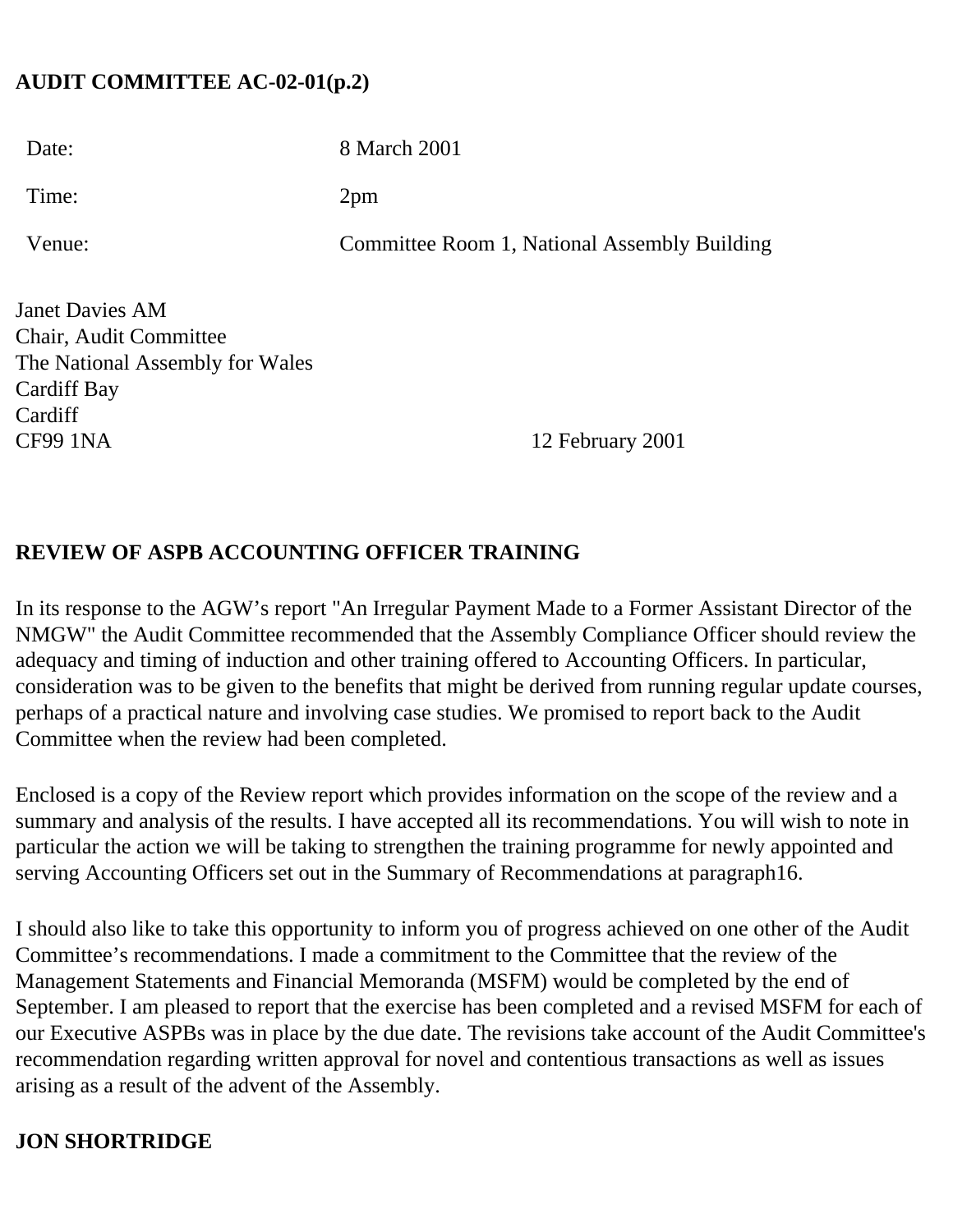#### **AUDIT COMMITTEE AC-02-01(p.2)**

| Date:  | 8 March 2001                                 |
|--------|----------------------------------------------|
| Time:  | 2pm                                          |
| Venue: | Committee Room 1, National Assembly Building |

Janet Davies AM Chair, Audit Committee The National Assembly for Wales Cardiff Bay Cardiff CF99 1NA 12 February 2001

#### **REVIEW OF ASPB ACCOUNTING OFFICER TRAINING**

In its response to the AGW's report "An Irregular Payment Made to a Former Assistant Director of the NMGW" the Audit Committee recommended that the Assembly Compliance Officer should review the adequacy and timing of induction and other training offered to Accounting Officers. In particular, consideration was to be given to the benefits that might be derived from running regular update courses, perhaps of a practical nature and involving case studies. We promised to report back to the Audit Committee when the review had been completed.

Enclosed is a copy of the Review report which provides information on the scope of the review and a summary and analysis of the results. I have accepted all its recommendations. You will wish to note in particular the action we will be taking to strengthen the training programme for newly appointed and serving Accounting Officers set out in the Summary of Recommendations at paragraph16.

I should also like to take this opportunity to inform you of progress achieved on one other of the Audit Committee's recommendations. I made a commitment to the Committee that the review of the Management Statements and Financial Memoranda (MSFM) would be completed by the end of September. I am pleased to report that the exercise has been completed and a revised MSFM for each of our Executive ASPBs was in place by the due date. The revisions take account of the Audit Committee's recommendation regarding written approval for novel and contentious transactions as well as issues arising as a result of the advent of the Assembly.

# **JON SHORTRIDGE**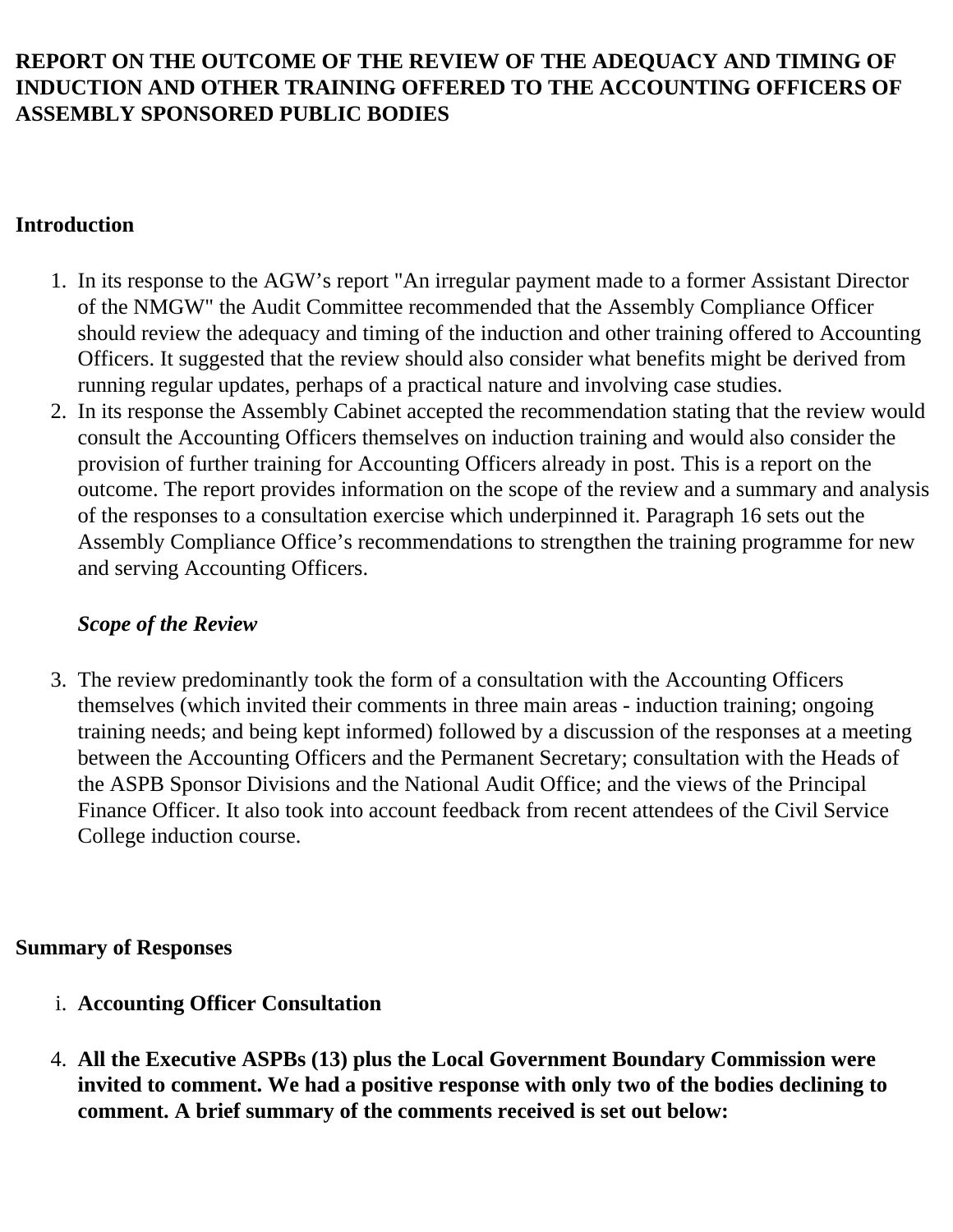#### **REPORT ON THE OUTCOME OF THE REVIEW OF THE ADEQUACY AND TIMING OF INDUCTION AND OTHER TRAINING OFFERED TO THE ACCOUNTING OFFICERS OF ASSEMBLY SPONSORED PUBLIC BODIES**

# **Introduction**

- 1. In its response to the AGW's report "An irregular payment made to a former Assistant Director of the NMGW" the Audit Committee recommended that the Assembly Compliance Officer should review the adequacy and timing of the induction and other training offered to Accounting Officers. It suggested that the review should also consider what benefits might be derived from running regular updates, perhaps of a practical nature and involving case studies.
- 2. In its response the Assembly Cabinet accepted the recommendation stating that the review would consult the Accounting Officers themselves on induction training and would also consider the provision of further training for Accounting Officers already in post. This is a report on the outcome. The report provides information on the scope of the review and a summary and analysis of the responses to a consultation exercise which underpinned it. Paragraph 16 sets out the Assembly Compliance Office's recommendations to strengthen the training programme for new and serving Accounting Officers.

#### *Scope of the Review*

3. The review predominantly took the form of a consultation with the Accounting Officers themselves (which invited their comments in three main areas - induction training; ongoing training needs; and being kept informed) followed by a discussion of the responses at a meeting between the Accounting Officers and the Permanent Secretary; consultation with the Heads of the ASPB Sponsor Divisions and the National Audit Office; and the views of the Principal Finance Officer. It also took into account feedback from recent attendees of the Civil Service College induction course.

#### **Summary of Responses**

- i. **Accounting Officer Consultation**
- 4. **All the Executive ASPBs (13) plus the Local Government Boundary Commission were invited to comment. We had a positive response with only two of the bodies declining to comment. A brief summary of the comments received is set out below:**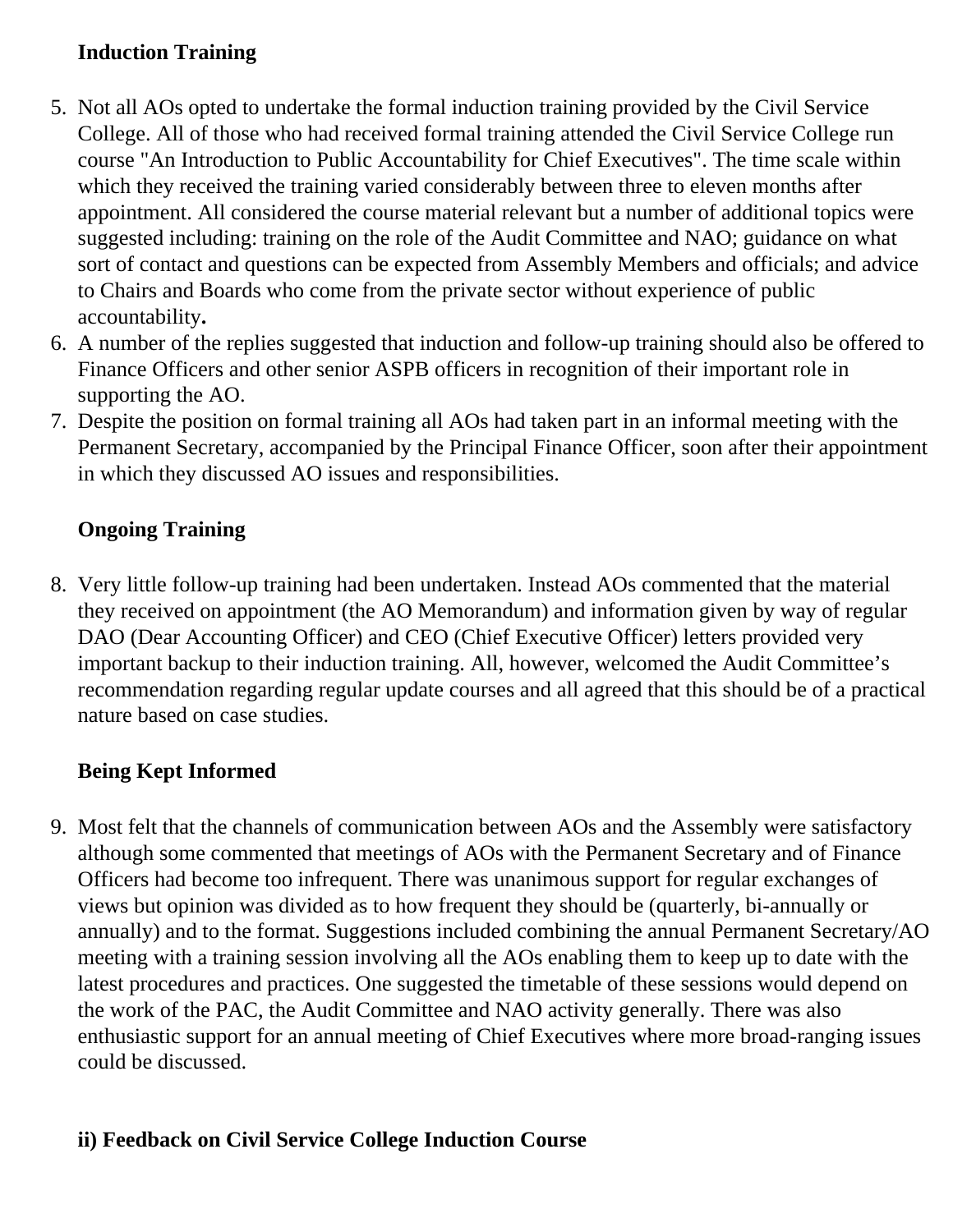# **Induction Training**

- 5. Not all AOs opted to undertake the formal induction training provided by the Civil Service College. All of those who had received formal training attended the Civil Service College run course "An Introduction to Public Accountability for Chief Executives". The time scale within which they received the training varied considerably between three to eleven months after appointment. All considered the course material relevant but a number of additional topics were suggested including: training on the role of the Audit Committee and NAO; guidance on what sort of contact and questions can be expected from Assembly Members and officials; and advice to Chairs and Boards who come from the private sector without experience of public accountability**.**
- 6. A number of the replies suggested that induction and follow-up training should also be offered to Finance Officers and other senior ASPB officers in recognition of their important role in supporting the AO.
- 7. Despite the position on formal training all AOs had taken part in an informal meeting with the Permanent Secretary, accompanied by the Principal Finance Officer, soon after their appointment in which they discussed AO issues and responsibilities.

# **Ongoing Training**

8. Very little follow-up training had been undertaken. Instead AOs commented that the material they received on appointment (the AO Memorandum) and information given by way of regular DAO (Dear Accounting Officer) and CEO (Chief Executive Officer) letters provided very important backup to their induction training. All, however, welcomed the Audit Committee's recommendation regarding regular update courses and all agreed that this should be of a practical nature based on case studies.

# **Being Kept Informed**

9. Most felt that the channels of communication between AOs and the Assembly were satisfactory although some commented that meetings of AOs with the Permanent Secretary and of Finance Officers had become too infrequent. There was unanimous support for regular exchanges of views but opinion was divided as to how frequent they should be (quarterly, bi-annually or annually) and to the format. Suggestions included combining the annual Permanent Secretary/AO meeting with a training session involving all the AOs enabling them to keep up to date with the latest procedures and practices. One suggested the timetable of these sessions would depend on the work of the PAC, the Audit Committee and NAO activity generally. There was also enthusiastic support for an annual meeting of Chief Executives where more broad-ranging issues could be discussed.

# **ii) Feedback on Civil Service College Induction Course**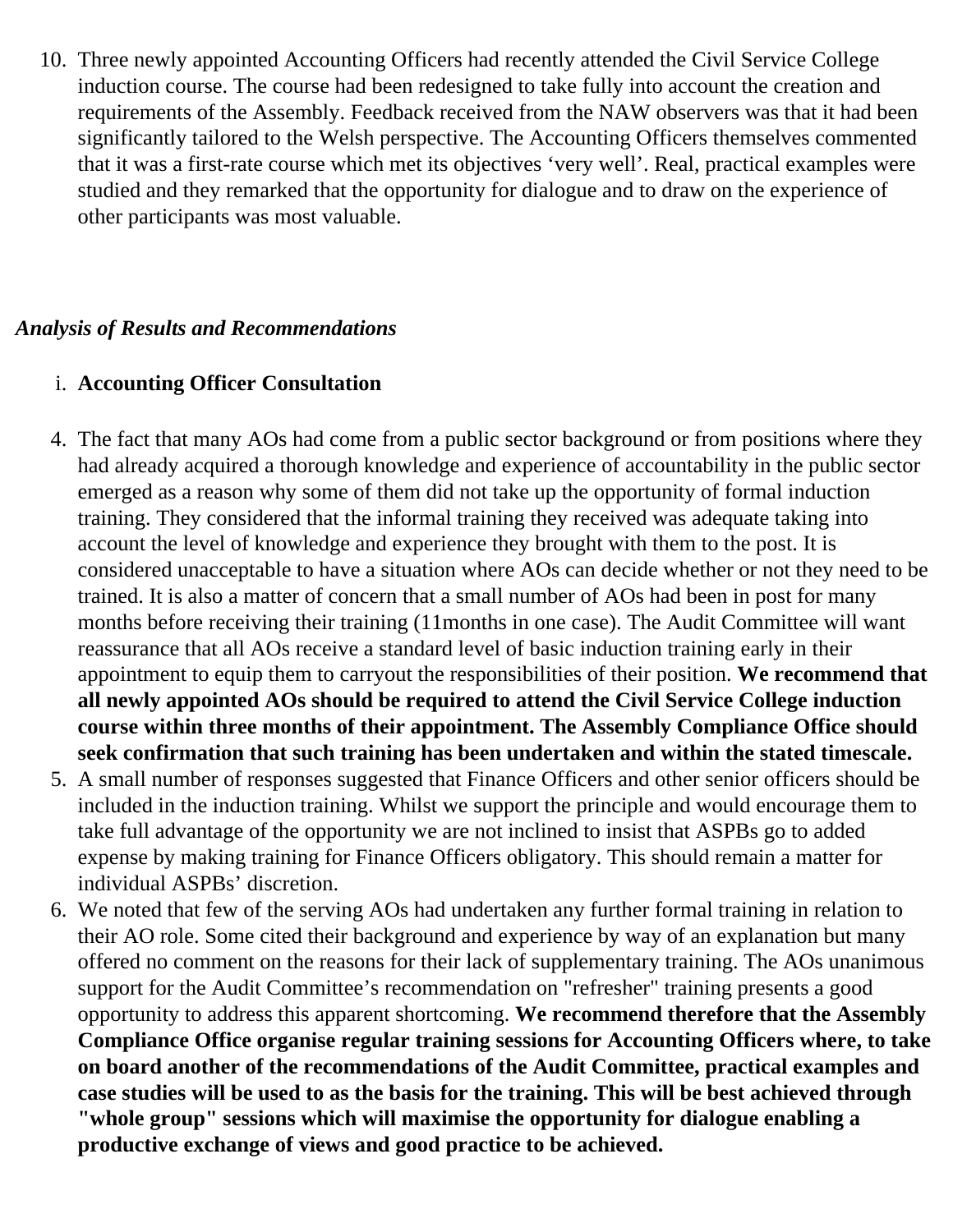10. Three newly appointed Accounting Officers had recently attended the Civil Service College induction course. The course had been redesigned to take fully into account the creation and requirements of the Assembly. Feedback received from the NAW observers was that it had been significantly tailored to the Welsh perspective. The Accounting Officers themselves commented that it was a first-rate course which met its objectives 'very well'. Real, practical examples were studied and they remarked that the opportunity for dialogue and to draw on the experience of other participants was most valuable.

#### *Analysis of Results and Recommendations*

# i. **Accounting Officer Consultation**

- 4. The fact that many AOs had come from a public sector background or from positions where they had already acquired a thorough knowledge and experience of accountability in the public sector emerged as a reason why some of them did not take up the opportunity of formal induction training. They considered that the informal training they received was adequate taking into account the level of knowledge and experience they brought with them to the post. It is considered unacceptable to have a situation where AOs can decide whether or not they need to be trained. It is also a matter of concern that a small number of AOs had been in post for many months before receiving their training (11months in one case). The Audit Committee will want reassurance that all AOs receive a standard level of basic induction training early in their appointment to equip them to carryout the responsibilities of their position. **We recommend that all newly appointed AOs should be required to attend the Civil Service College induction course within three months of their appointment. The Assembly Compliance Office should seek confirmation that such training has been undertaken and within the stated timescale.**
- 5. A small number of responses suggested that Finance Officers and other senior officers should be included in the induction training. Whilst we support the principle and would encourage them to take full advantage of the opportunity we are not inclined to insist that ASPBs go to added expense by making training for Finance Officers obligatory. This should remain a matter for individual ASPBs' discretion.
- 6. We noted that few of the serving AOs had undertaken any further formal training in relation to their AO role. Some cited their background and experience by way of an explanation but many offered no comment on the reasons for their lack of supplementary training. The AOs unanimous support for the Audit Committee's recommendation on "refresher" training presents a good opportunity to address this apparent shortcoming. **We recommend therefore that the Assembly Compliance Office organise regular training sessions for Accounting Officers where, to take on board another of the recommendations of the Audit Committee, practical examples and case studies will be used to as the basis for the training. This will be best achieved through "whole group" sessions which will maximise the opportunity for dialogue enabling a productive exchange of views and good practice to be achieved.**